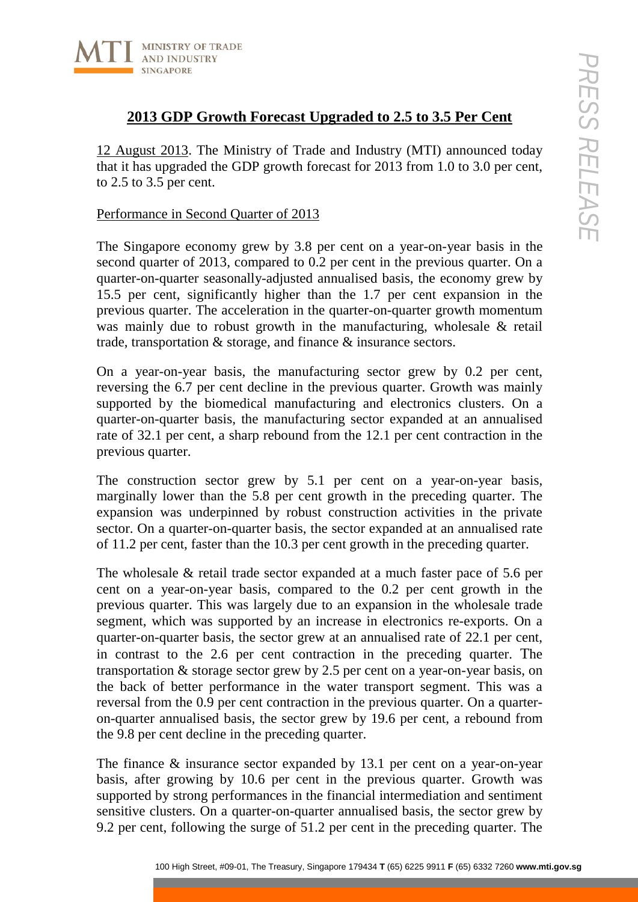

# **2013 GDP Growth Forecast Upgraded to 2.5 to 3.5 Per Cent**

12 August 2013. The Ministry of Trade and Industry (MTI) announced today that it has upgraded the GDP growth forecast for 2013 from 1.0 to 3.0 per cent, to 2.5 to 3.5 per cent.

### Performance in Second Quarter of 2013

The Singapore economy grew by 3.8 per cent on a year-on-year basis in the second quarter of 2013, compared to 0.2 per cent in the previous quarter. On a quarter-on-quarter seasonally-adjusted annualised basis, the economy grew by 15.5 per cent, significantly higher than the 1.7 per cent expansion in the previous quarter. The acceleration in the quarter-on-quarter growth momentum was mainly due to robust growth in the manufacturing, wholesale & retail trade, transportation & storage, and finance & insurance sectors.

On a year-on-year basis, the manufacturing sector grew by 0.2 per cent, reversing the 6.7 per cent decline in the previous quarter. Growth was mainly supported by the biomedical manufacturing and electronics clusters. On a quarter-on-quarter basis, the manufacturing sector expanded at an annualised rate of 32.1 per cent, a sharp rebound from the 12.1 per cent contraction in the previous quarter.

The construction sector grew by 5.1 per cent on a year-on-year basis, marginally lower than the 5.8 per cent growth in the preceding quarter. The expansion was underpinned by robust construction activities in the private sector. On a quarter-on-quarter basis, the sector expanded at an annualised rate of 11.2 per cent, faster than the 10.3 per cent growth in the preceding quarter.

100 Holomoton sector grew by S. S. Per cent in a periodic of the previous control of the Treasury, Singapore 1643, The Ministry of Tracke and Industry (MTI) amountced today  $\frac{1}{2}$  Specification (Figure 2013, The Minist The wholesale & retail trade sector expanded at a much faster pace of 5.6 per cent on a year-on-year basis, compared to the 0.2 per cent growth in the previous quarter. This was largely due to an expansion in the wholesale trade segment, which was supported by an increase in electronics re-exports. On a quarter-on-quarter basis, the sector grew at an annualised rate of 22.1 per cent, in contrast to the 2.6 per cent contraction in the preceding quarter. The transportation & storage sector grew by 2.5 per cent on a year-on-year basis, on the back of better performance in the water transport segment. This was a reversal from the 0.9 per cent contraction in the previous quarter. On a quarteron-quarter annualised basis, the sector grew by 19.6 per cent, a rebound from the 9.8 per cent decline in the preceding quarter.

The finance & insurance sector expanded by 13.1 per cent on a year-on-year basis, after growing by 10.6 per cent in the previous quarter. Growth was supported by strong performances in the financial intermediation and sentiment sensitive clusters. On a quarter-on-quarter annualised basis, the sector grew by 9.2 per cent, following the surge of 51.2 per cent in the preceding quarter. The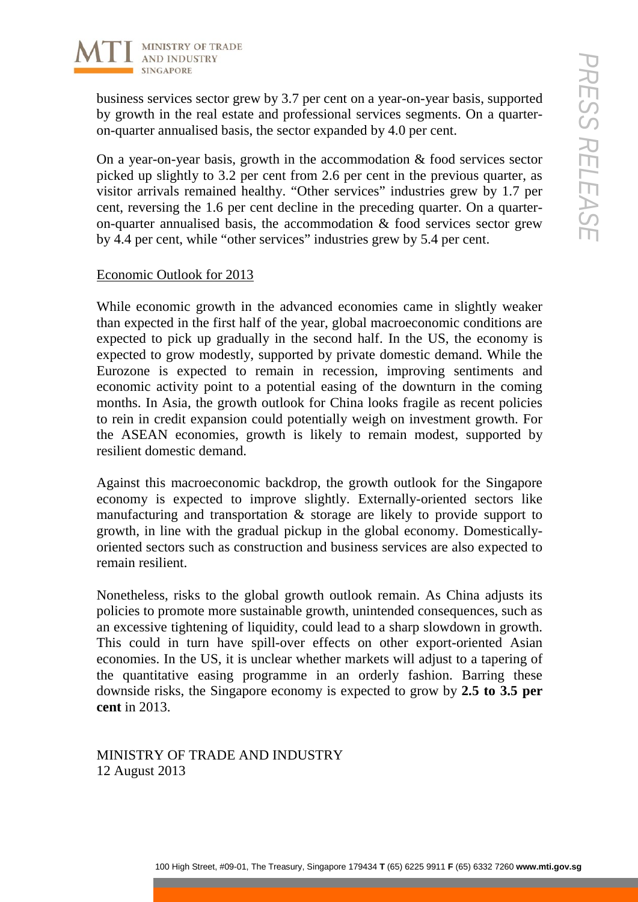

business services sector grew by 3.7 per cent on a year-on-year basis, supported by growth in the real estate and professional services segments. On a quarteron-quarter annualised basis, the sector expanded by 4.0 per cent.

On a year-on-year basis, growth in the accommodation & food services sector picked up slightly to 3.2 per cent from 2.6 per cent in the previous quarter, as visitor arrivals remained healthy. "Other services" industries grew by 1.7 per cent, reversing the 1.6 per cent decline in the preceding quarter. On a quarteron-quarter annualised basis, the accommodation & food services sector grew by 4.4 per cent, while "other services" industries grew by 5.4 per cent.

## Economic Outlook for 2013

100 Hotels sector grow by 3.7 per cent on a year-on-year basis, supported<br>
in the real estate and professional services segments. On a quarter-<br>
amunalised basis, the sector expanded by 4.0 per cent.<br>
amunalised basis, th While economic growth in the advanced economies came in slightly weaker than expected in the first half of the year, global macroeconomic conditions are expected to pick up gradually in the second half. In the US, the economy is expected to grow modestly, supported by private domestic demand. While the Eurozone is expected to remain in recession, improving sentiments and economic activity point to a potential easing of the downturn in the coming months. In Asia, the growth outlook for China looks fragile as recent policies to rein in credit expansion could potentially weigh on investment growth. For the ASEAN economies, growth is likely to remain modest, supported by resilient domestic demand.

Against this macroeconomic backdrop, the growth outlook for the Singapore economy is expected to improve slightly. Externally-oriented sectors like manufacturing and transportation & storage are likely to provide support to growth, in line with the gradual pickup in the global economy. Domesticallyoriented sectors such as construction and business services are also expected to remain resilient.

Nonetheless, risks to the global growth outlook remain. As China adjusts its policies to promote more sustainable growth, unintended consequences, such as an excessive tightening of liquidity, could lead to a sharp slowdown in growth. This could in turn have spill-over effects on other export-oriented Asian economies. In the US, it is unclear whether markets will adjust to a tapering of the quantitative easing programme in an orderly fashion. Barring these downside risks, the Singapore economy is expected to grow by **2.5 to 3.5 per cent** in 2013.

MINISTRY OF TRADE AND INDUSTRY 12 August 2013